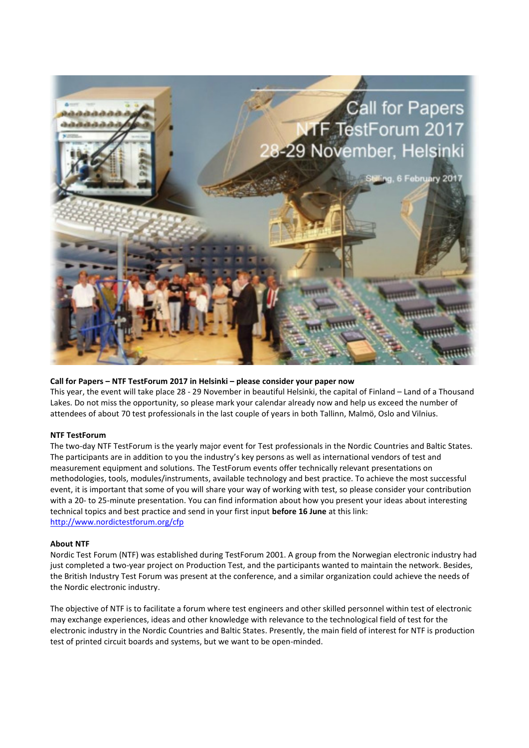

## **Call for Papers – NTF TestForum 2017 in Helsinki – please consider your paper now**

This year, the event will take place 28 - 29 November in beautiful Helsinki, the capital of Finland – Land of a Thousand Lakes. Do not miss the opportunity, so please mark your calendar already now and help us exceed the number of attendees of about 70 test professionals in the last couple of years in both Tallinn, Malmö, Oslo and Vilnius.

## **NTF TestForum**

The two-day NTF TestForum is the yearly major event for Test professionals in the Nordic Countries and Baltic States. The participants are in addition to you the industry's key persons as well as international vendors of test and measurement equipment and solutions. The TestForum events offer technically relevant presentations on methodologies, tools, modules/instruments, available technology and best practice. To achieve the most successful event, it is important that some of you will share your way of working with test, so please consider your contribution with a 20- to 25-minute presentation. You can find information about how you present your ideas about interesting technical topics and best practice and send in your first input **before 16 June** at this link: <http://www.nordictestforum.org/cfp>

## **About NTF**

Nordic Test Forum (NTF) was established during TestForum 2001. A group from the Norwegian electronic industry had just completed a two-year project on Production Test, and the participants wanted to maintain the network. Besides, the British Industry Test Forum was present at the conference, and a similar organization could achieve the needs of the Nordic electronic industry.

The objective of NTF is to facilitate a forum where test engineers and other skilled personnel within test of electronic may exchange experiences, ideas and other knowledge with relevance to the technological field of test for the electronic industry in the Nordic Countries and Baltic States. Presently, the main field of interest for NTF is production test of printed circuit boards and systems, but we want to be open-minded.